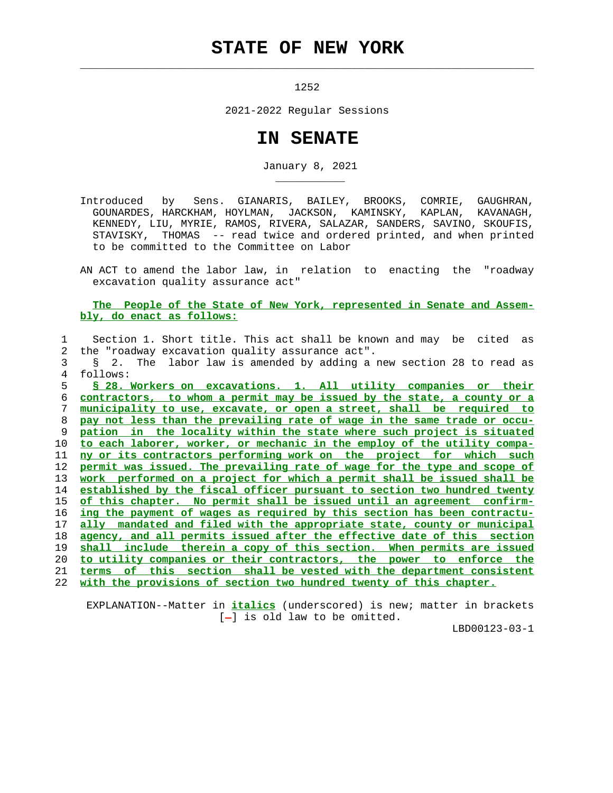## **STATE OF NEW YORK**

 $\mathcal{L}_\text{max} = \frac{1}{2} \sum_{i=1}^{n} \frac{1}{2} \sum_{i=1}^{n} \frac{1}{2} \sum_{i=1}^{n} \frac{1}{2} \sum_{i=1}^{n} \frac{1}{2} \sum_{i=1}^{n} \frac{1}{2} \sum_{i=1}^{n} \frac{1}{2} \sum_{i=1}^{n} \frac{1}{2} \sum_{i=1}^{n} \frac{1}{2} \sum_{i=1}^{n} \frac{1}{2} \sum_{i=1}^{n} \frac{1}{2} \sum_{i=1}^{n} \frac{1}{2} \sum_{i=1}^{n} \frac{1$ 

\_\_\_\_\_\_\_\_\_\_\_

1252

2021-2022 Regular Sessions

## **IN SENATE**

January 8, 2021

 Introduced by Sens. GIANARIS, BAILEY, BROOKS, COMRIE, GAUGHRAN, GOUNARDES, HARCKHAM, HOYLMAN, JACKSON, KAMINSKY, KAPLAN, KAVANAGH, KENNEDY, LIU, MYRIE, RAMOS, RIVERA, SALAZAR, SANDERS, SAVINO, SKOUFIS, STAVISKY, THOMAS -- read twice and ordered printed, and when printed to be committed to the Committee on Labor

 AN ACT to amend the labor law, in relation to enacting the "roadway excavation quality assurance act"

 **The People of the State of New York, represented in Senate and Assem bly, do enact as follows:**

 1 Section 1. Short title. This act shall be known and may be cited as 2 the "roadway excavation quality assurance act". 3 § 2. The labor law is amended by adding a new section 28 to read as 4 follows: **§ 28. Workers on excavations. 1. All utility companies or their contractors, to whom a permit may be issued by the state, a county or a municipality to use, excavate, or open a street, shall be required to pay not less than the prevailing rate of wage in the same trade or occu- pation in the locality within the state where such project is situated to each laborer, worker, or mechanic in the employ of the utility compa- ny or its contractors performing work on the project for which such permit was issued. The prevailing rate of wage for the type and scope of work performed on a project for which a permit shall be issued shall be established by the fiscal officer pursuant to section two hundred twenty of this chapter. No permit shall be issued until an agreement confirm- ing the payment of wages as required by this section has been contractu- ally mandated and filed with the appropriate state, county or municipal agency, and all permits issued after the effective date of this section shall include therein a copy of this section. When permits are issued to utility companies or their contractors, the power to enforce the terms of this section shall be vested with the department consistent with the provisions of section two hundred twenty of this chapter.**

 EXPLANATION--Matter in **italics** (underscored) is new; matter in brackets  $[-]$  is old law to be omitted.

LBD00123-03-1